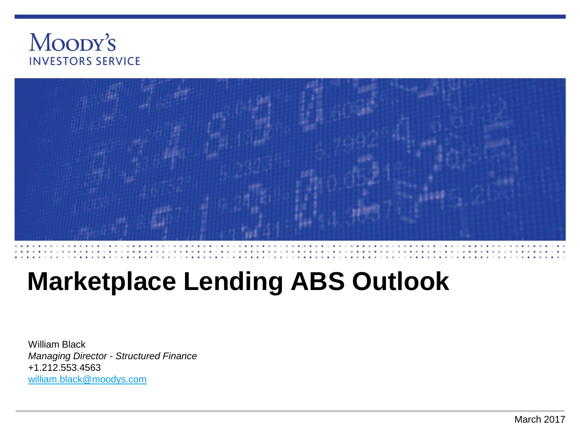



# **Marketplace Lending ABS Outlook**

William Black *Managing Director - Structured Finance* +1.212.553.4563 [william.black@moodys.com](mailto:william.black@moodys.com)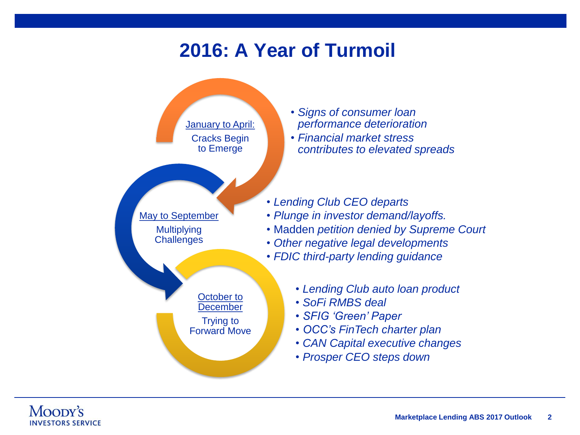#### **2016: A Year of Turmoil**

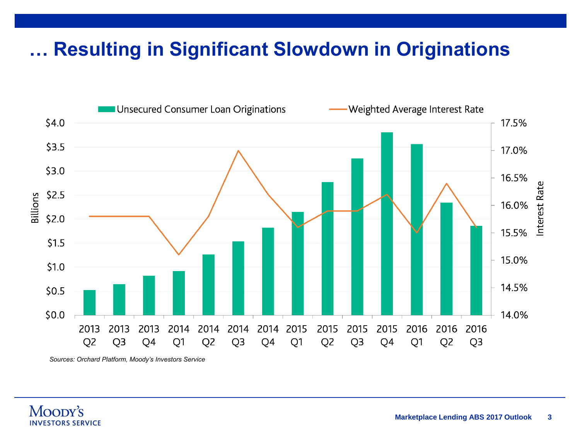# **… Resulting in Significant Slowdown in Originations**



*Sources: Orchard Platform, Moody's Investors Service*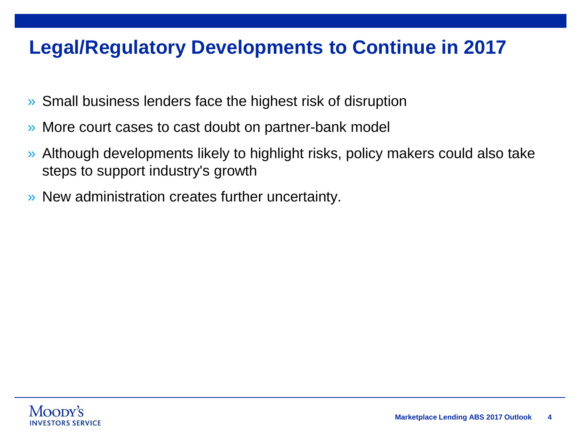# **Legal/Regulatory Developments to Continue in 2017**

- » Small business lenders face the highest risk of disruption
- » More court cases to cast doubt on partner-bank model
- » Although developments likely to highlight risks, policy makers could also take steps to support industry's growth
- » New administration creates further uncertainty.

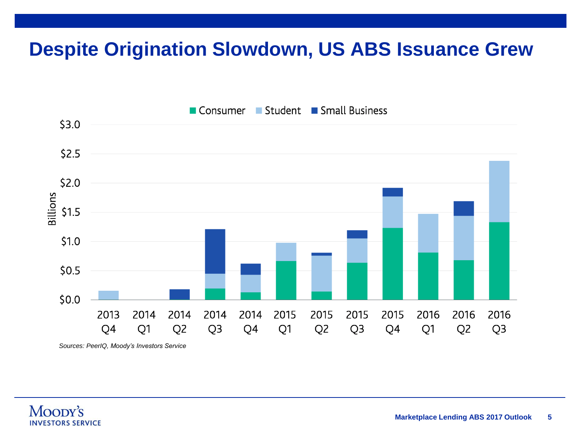# **Despite Origination Slowdown, US ABS Issuance Grew**



*Sources: PeerIQ, Moody's Investors Service*

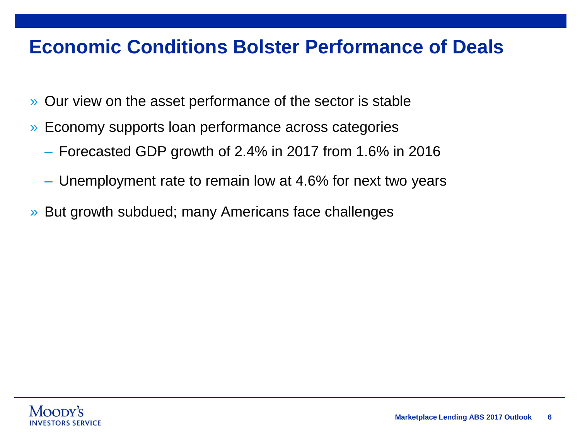#### **Economic Conditions Bolster Performance of Deals**

- » Our view on the asset performance of the sector is stable
- » Economy supports loan performance across categories
	- Forecasted GDP growth of 2.4% in 2017 from 1.6% in 2016
	- Unemployment rate to remain low at 4.6% for next two years
- » But growth subdued; many Americans face challenges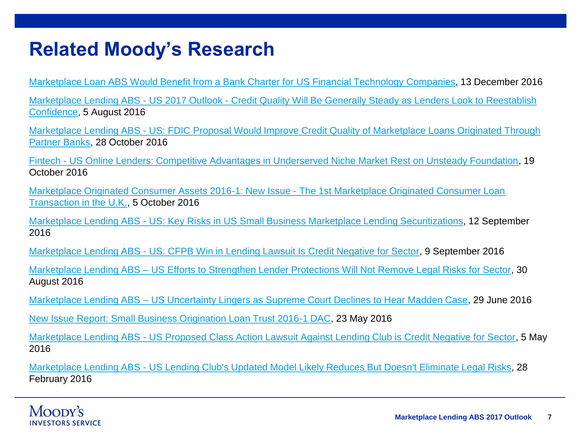#### **Related Moody's Research**

[Marketplace Loan ABS Would Benefit from a Bank Charter for US Financial Technology Companies](https://www.moodys.com/research/Marketplace-Loan-ABS-Would-Benefit-from-a-Bank-Charter-for--PBS_SF444177), 13 December 2016

Marketplace Lending ABS - US 2017 Outlook - [Credit Quality Will Be Generally Steady as Lenders Look to Reestablish](https://www.moodys.com/researchdocumentcontentpage.aspx?docid=PBS_1042543) Confidence, 5 August 2016

Marketplace Lending ABS - [US: FDIC Proposal Would Improve Credit Quality of Marketplace Loans Originated Through](https://www.moodys.com/researchdocumentcontentpage.aspx?docid=PBS_1044025)  Partner Banks, 28 October 2016

Fintech - [US Online Lenders: Competitive Advantages in Underserved Niche Market Rest on Unsteady Foundation,](https://www.moodys.com/research/Fintech-US-Online-Lenders-Competitive-Advantages-in-Underserved-Niche-Market--PBC_1046280) 19 October 2016

[Marketplace Originated Consumer Assets 2016-1: New Issue -](https://www.moodys.com/research/Marketplace-Originated-Consumer-Assets-2016-1-New-Issue-The-1st-New-Issue-Report--PBS_1044273) The 1st Marketplace Originated Consumer Loan Transaction in the U.K., 5 October 2016

Marketplace Lending ABS - [US: Key Risks in US Small Business Marketplace Lending Securitizations](https://www.moodys.com/researchdocumentcontentpage.aspx?docid=PBC_1024069), 12 September 2016

Marketplace Lending ABS - [US: CFPB Win in Lending Lawsuit Is Credit Negative for Sector,](https://www.moodys.com/researchdocumentcontentpage.aspx?docid=PBC_1041147) 9 September 2016

Marketplace Lending ABS – [US Efforts to Strengthen Lender Protections Will Not Remove Legal Risks for Sector,](https://www.moodys.com/researchdocumentcontentpage.aspx?docid=PBS_1036984) 30 August 2016

Marketplace Lending ABS – [US Uncertainty Lingers as Supreme Court Declines to Hear Madden Case,](https://www.moodys.com/researchdocumentcontentpage.aspx?docid=PBC_1033066) 29 June 2016

[New Issue Report: Small Business Origination Loan Trust 2016-1 DAC,](https://www.moodys.com/research/Small-Business-Origination-Loan-Trust-2016-1-DAC-New-Issue-Report--PBS_SF431677) 23 May 2016

Marketplace Lending ABS - [US Proposed Class Action Lawsuit Against Lending Club is Credit Negative for Sector](https://www.moodys.com/researchdocumentcontentpage.aspx?docid=PBC_1024902), 5 May 2016

Marketplace Lending ABS - [US Lending Club's Updated Model Likely Reduces But Doesn't Eliminate Legal Risks,](https://www.moodys.com/researchdocumentcontentpage.aspx?docid=PBS_1018187) 28 February 2016

#### Moopy's **INVESTORS SERVICE**